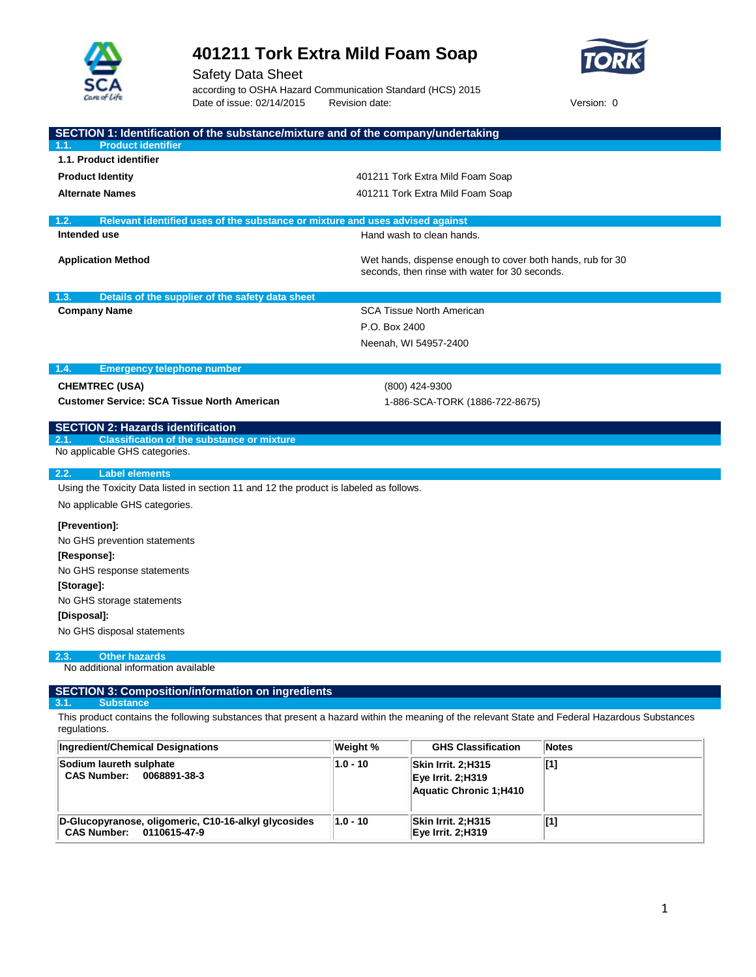



Safety Data Sheet according to OSHA Hazard Communication Standard (HCS) 2015 Date of issue: 02/14/2015 Revision date: Version: 0

| SECTION 1: Identification of the substance/mixture and of the company/undertaking<br><b>Product identifier</b>                                                                             |               |                                                                                                              |              |
|--------------------------------------------------------------------------------------------------------------------------------------------------------------------------------------------|---------------|--------------------------------------------------------------------------------------------------------------|--------------|
| 1.1. Product identifier                                                                                                                                                                    |               |                                                                                                              |              |
| <b>Product Identity</b>                                                                                                                                                                    |               | 401211 Tork Extra Mild Foam Soap                                                                             |              |
| <b>Alternate Names</b>                                                                                                                                                                     |               | 401211 Tork Extra Mild Foam Soap                                                                             |              |
|                                                                                                                                                                                            |               |                                                                                                              |              |
| 1.2.<br>Relevant identified uses of the substance or mixture and uses advised against<br>Intended use                                                                                      |               | Hand wash to clean hands.                                                                                    |              |
|                                                                                                                                                                                            |               |                                                                                                              |              |
| <b>Application Method</b>                                                                                                                                                                  |               | Wet hands, dispense enough to cover both hands, rub for 30<br>seconds, then rinse with water for 30 seconds. |              |
| 1.3.<br>Details of the supplier of the safety data sheet                                                                                                                                   |               |                                                                                                              |              |
| <b>Company Name</b>                                                                                                                                                                        |               | <b>SCA Tissue North American</b>                                                                             |              |
|                                                                                                                                                                                            | P.O. Box 2400 |                                                                                                              |              |
|                                                                                                                                                                                            |               | Neenah, WI 54957-2400                                                                                        |              |
| 1.4.<br><b>Emergency telephone number</b>                                                                                                                                                  |               |                                                                                                              |              |
| <b>CHEMTREC (USA)</b>                                                                                                                                                                      |               | (800) 424-9300                                                                                               |              |
| <b>Customer Service: SCA Tissue North American</b>                                                                                                                                         |               | 1-886-SCA-TORK (1886-722-8675)                                                                               |              |
| <b>SECTION 2: Hazards identification</b>                                                                                                                                                   |               |                                                                                                              |              |
| <b>Classification of the substance or mixture</b><br>2.1.<br>No applicable GHS categories.                                                                                                 |               |                                                                                                              |              |
|                                                                                                                                                                                            |               |                                                                                                              |              |
| <b>Label elements</b><br>2.2.                                                                                                                                                              |               |                                                                                                              |              |
| Using the Toxicity Data listed in section 11 and 12 the product is labeled as follows.                                                                                                     |               |                                                                                                              |              |
| No applicable GHS categories.                                                                                                                                                              |               |                                                                                                              |              |
| [Prevention]:                                                                                                                                                                              |               |                                                                                                              |              |
| No GHS prevention statements                                                                                                                                                               |               |                                                                                                              |              |
| [Response]:                                                                                                                                                                                |               |                                                                                                              |              |
| No GHS response statements                                                                                                                                                                 |               |                                                                                                              |              |
| [Storage]:                                                                                                                                                                                 |               |                                                                                                              |              |
| No GHS storage statements                                                                                                                                                                  |               |                                                                                                              |              |
| [Disposal]:                                                                                                                                                                                |               |                                                                                                              |              |
| No GHS disposal statements                                                                                                                                                                 |               |                                                                                                              |              |
| <b>Other hazards</b><br>2.3.<br>No additional information available                                                                                                                        |               |                                                                                                              |              |
| <b>SECTION 3: Composition/information on ingredients</b>                                                                                                                                   |               |                                                                                                              |              |
| <b>Substance</b><br>3.1.<br>This product contains the following substances that present a hazard within the meaning of the relevant State and Federal Hazardous Substances<br>regulations. |               |                                                                                                              |              |
| <b>Ingredient/Chemical Designations</b>                                                                                                                                                    | Weight %      | <b>GHS Classification</b>                                                                                    | <b>Notes</b> |

| $\mu$ ingredieno Grieniicai Designations                                                   | <b>VVEIYIIL</b> 70 | und Glassification                                                        | שטופ              |
|--------------------------------------------------------------------------------------------|--------------------|---------------------------------------------------------------------------|-------------------|
| Sodium laureth sulphate<br><b>CAS Number:</b><br>0068891-38-3                              | $1.0 - 10$         | Skin Irrit. 2:H315<br><b>Eye Irrit. 2:H319</b><br>Aquatic Chronic 1; H410 | [1]               |
| D-Glucopyranose, oligomeric, C10-16-alkyl glycosides<br><b>CAS Number:</b><br>0110615-47-9 | $1.0 - 10$         | Skin Irrit. 2;H315<br><b>Eye Irrit. 2:H319</b>                            | $\lceil 1 \rceil$ |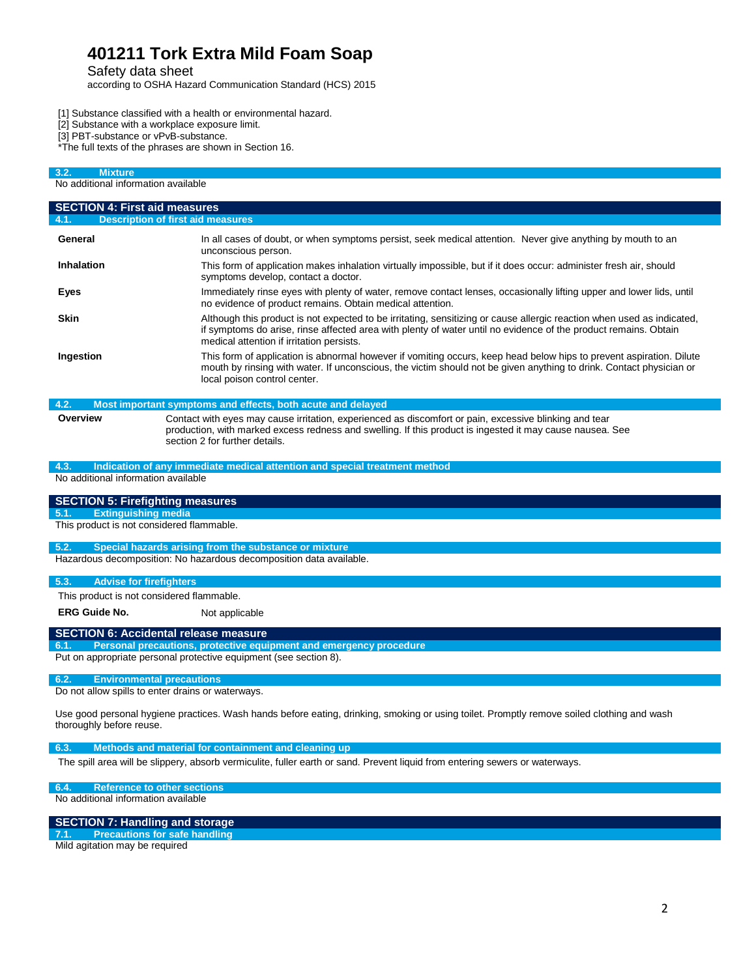Safety data sheet

according to OSHA Hazard Communication Standard (HCS) 2015

- [1] Substance classified with a health or environmental hazard.
- [2] Substance with a workplace exposure limit.
- [3] PBT-substance or vPvB-substance.

\*The full texts of the phrases are shown in Section 16.

| 3.2.<br><b>Mixture</b>                                                                                                                                                                       |                                                                                                                                                                                                                                                                                        |  |  |  |
|----------------------------------------------------------------------------------------------------------------------------------------------------------------------------------------------|----------------------------------------------------------------------------------------------------------------------------------------------------------------------------------------------------------------------------------------------------------------------------------------|--|--|--|
| No additional information available                                                                                                                                                          |                                                                                                                                                                                                                                                                                        |  |  |  |
| <b>SECTION 4: First aid measures</b>                                                                                                                                                         |                                                                                                                                                                                                                                                                                        |  |  |  |
| 4.1.                                                                                                                                                                                         | <b>Description of first aid measures</b>                                                                                                                                                                                                                                               |  |  |  |
| General                                                                                                                                                                                      | In all cases of doubt, or when symptoms persist, seek medical attention. Never give anything by mouth to an<br>unconscious person.                                                                                                                                                     |  |  |  |
| <b>Inhalation</b>                                                                                                                                                                            | This form of application makes inhalation virtually impossible, but if it does occur: administer fresh air, should<br>symptoms develop, contact a doctor.                                                                                                                              |  |  |  |
| Eyes                                                                                                                                                                                         | Immediately rinse eyes with plenty of water, remove contact lenses, occasionally lifting upper and lower lids, until<br>no evidence of product remains. Obtain medical attention.                                                                                                      |  |  |  |
| <b>Skin</b>                                                                                                                                                                                  | Although this product is not expected to be irritating, sensitizing or cause allergic reaction when used as indicated,<br>if symptoms do arise, rinse affected area with plenty of water until no evidence of the product remains. Obtain<br>medical attention if irritation persists. |  |  |  |
| Ingestion                                                                                                                                                                                    | This form of application is abnormal however if vomiting occurs, keep head below hips to prevent aspiration. Dilute<br>mouth by rinsing with water. If unconscious, the victim should not be given anything to drink. Contact physician or<br>local poison control center.             |  |  |  |
| 4.2.                                                                                                                                                                                         | Most important symptoms and effects, both acute and delayed                                                                                                                                                                                                                            |  |  |  |
| Overview                                                                                                                                                                                     | Contact with eyes may cause irritation, experienced as discomfort or pain, excessive blinking and tear<br>production, with marked excess redness and swelling. If this product is ingested it may cause nausea. See<br>section 2 for further details.                                  |  |  |  |
| 4.3.                                                                                                                                                                                         | Indication of any immediate medical attention and special treatment method                                                                                                                                                                                                             |  |  |  |
| No additional information available                                                                                                                                                          |                                                                                                                                                                                                                                                                                        |  |  |  |
| <b>SECTION 5: Firefighting measures</b>                                                                                                                                                      |                                                                                                                                                                                                                                                                                        |  |  |  |
| <b>Extinguishing media</b><br>5.1.                                                                                                                                                           |                                                                                                                                                                                                                                                                                        |  |  |  |
| This product is not considered flammable.                                                                                                                                                    |                                                                                                                                                                                                                                                                                        |  |  |  |
| 5.2.                                                                                                                                                                                         | Special hazards arising from the substance or mixture                                                                                                                                                                                                                                  |  |  |  |
| Hazardous decomposition: No hazardous decomposition data available.                                                                                                                          |                                                                                                                                                                                                                                                                                        |  |  |  |
| 5.3.<br><b>Advise for firefighters</b>                                                                                                                                                       |                                                                                                                                                                                                                                                                                        |  |  |  |
|                                                                                                                                                                                              | This product is not considered flammable.                                                                                                                                                                                                                                              |  |  |  |
| <b>ERG Guide No.</b>                                                                                                                                                                         | Not applicable                                                                                                                                                                                                                                                                         |  |  |  |
|                                                                                                                                                                                              | <b>SECTION 6: Accidental release measure</b>                                                                                                                                                                                                                                           |  |  |  |
| Personal precautions, protective equipment and emergency procedure<br>6.1.                                                                                                                   |                                                                                                                                                                                                                                                                                        |  |  |  |
|                                                                                                                                                                                              | Put on appropriate personal protective equipment (see section 8).                                                                                                                                                                                                                      |  |  |  |
| 6.2.<br><b>Environmental precautions</b><br>Do not allow spills to enter drains or waterways.                                                                                                |                                                                                                                                                                                                                                                                                        |  |  |  |
| Use good personal hygiene practices. Wash hands before eating, drinking, smoking or using toilet. Promptly remove soiled clothing and wash<br>thoroughly before reuse.                       |                                                                                                                                                                                                                                                                                        |  |  |  |
| 6.3.<br>Methods and material for containment and cleaning up<br>The spill area will be slippery, absorb vermiculite, fuller earth or sand. Prevent liquid from entering sewers or waterways. |                                                                                                                                                                                                                                                                                        |  |  |  |
|                                                                                                                                                                                              |                                                                                                                                                                                                                                                                                        |  |  |  |
| 6.4.<br>No additional information available                                                                                                                                                  | <b>Reference to other sections</b>                                                                                                                                                                                                                                                     |  |  |  |

#### **SECTION 7: Handling and storage**

**7.1. Precautions for safe handling**

Mild agitation may be required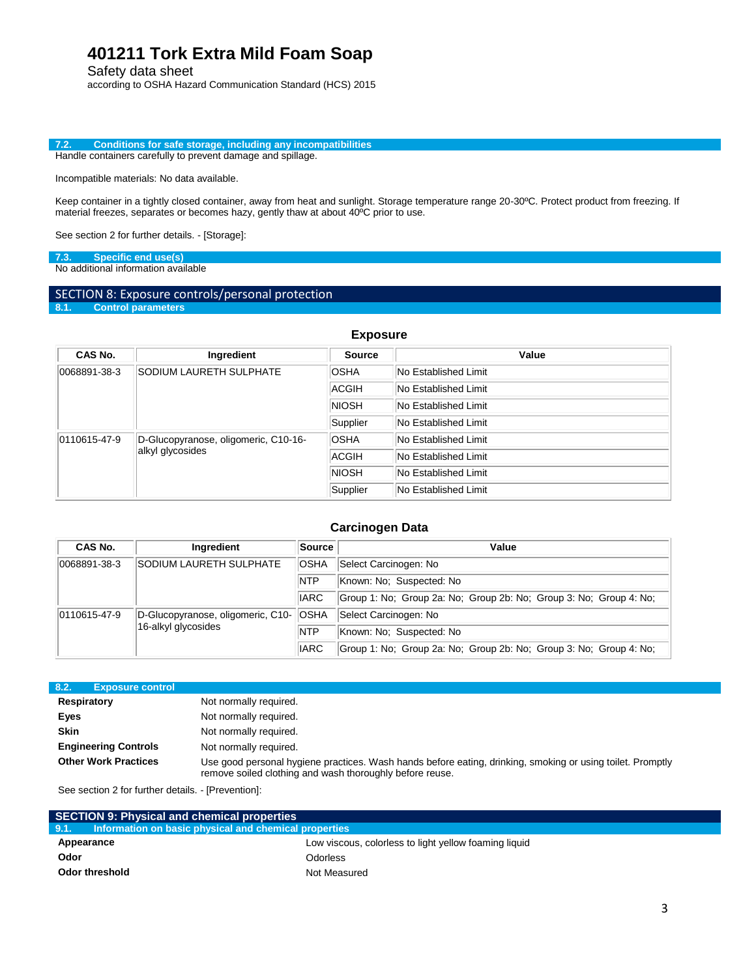Safety data sheet

according to OSHA Hazard Communication Standard (HCS) 2015

**7.2. Conditions for safe storage, including any incompatibilities** Handle containers carefully to prevent damage and spillage.

Incompatible materials: No data available.

Keep container in a tightly closed container, away from heat and sunlight. Storage temperature range 20-30ºC. Protect product from freezing. If material freezes, separates or becomes hazy, gently thaw at about 40ºC prior to use.

See section 2 for further details. - [Storage]:

**7.3. Specific end use(s)**

No additional information available

# SECTION 8: Exposure controls/personal protection<br>8.1. Control parameters

**8.1. Control parameters**

### **Exposure**

| CAS No.                                                                  | Ingredient                     | <b>Source</b> | Value                       |
|--------------------------------------------------------------------------|--------------------------------|---------------|-----------------------------|
| 0068891-38-3                                                             | <b>SODIUM LAURETH SULPHATE</b> | <b>OSHA</b>   | No Established Limit        |
|                                                                          |                                | <b>ACGIH</b>  | No Established Limit        |
|                                                                          |                                | <b>NIOSH</b>  | <b>No Established Limit</b> |
|                                                                          |                                | Supplier      | <b>No Established Limit</b> |
| D-Glucopyranose, oligomeric, C10-16-<br>0110615-47-9<br>alkyl glycosides |                                | <b>OSHA</b>   | <b>No Established Limit</b> |
|                                                                          |                                | <b>ACGIH</b>  | No Established Limit        |
|                                                                          |                                | <b>NIOSH</b>  | No Established Limit        |
|                                                                          |                                | Supplier      | No Established Limit        |

### **Carcinogen Data**

| CAS No.                                                        | <b>Ingredient</b>   | Source      | Value                                                              |
|----------------------------------------------------------------|---------------------|-------------|--------------------------------------------------------------------|
| SODIUM LAURETH SULPHATE<br>0068891-38-3                        |                     | <b>OSHA</b> | Select Carcinogen: No                                              |
|                                                                |                     | <b>NTP</b>  | Known: No: Suspected: No                                           |
|                                                                |                     | <b>IARC</b> | Group 1: No: Group 2a: No: Group 2b: No: Group 3: No: Group 4: No: |
| D-Glucopyranose, oligomeric, C10- OSHA<br>$ 0110615 - 47 - 9 $ |                     |             | Select Carcinogen: No                                              |
|                                                                | 16-alkyl glycosides | <b>NTP</b>  | Known: No: Suspected: No                                           |
|                                                                |                     | <b>IARC</b> | Group 1: No; Group 2a: No; Group 2b: No; Group 3: No; Group 4: No; |

| 8.2.<br><b>Exposure control</b> |                                                                                                                                                                        |
|---------------------------------|------------------------------------------------------------------------------------------------------------------------------------------------------------------------|
| <b>Respiratory</b>              | Not normally required.                                                                                                                                                 |
| Eyes                            | Not normally required.                                                                                                                                                 |
| <b>Skin</b>                     | Not normally required.                                                                                                                                                 |
| <b>Engineering Controls</b>     | Not normally required.                                                                                                                                                 |
| <b>Other Work Practices</b>     | Use good personal hygiene practices. Wash hands before eating, drinking, smoking or using toilet. Promptly<br>remove soiled clothing and wash thoroughly before reuse. |

See section 2 for further details. - [Prevention]:

I

| <b>SECTION 9: Physical and chemical properties</b>            |                                                       |
|---------------------------------------------------------------|-------------------------------------------------------|
| Information on basic physical and chemical properties<br>9.1. |                                                       |
| Appearance                                                    | Low viscous, colorless to light yellow foaming liquid |
| Odor                                                          | <b>Odorless</b>                                       |
| Odor threshold                                                | Not Measured                                          |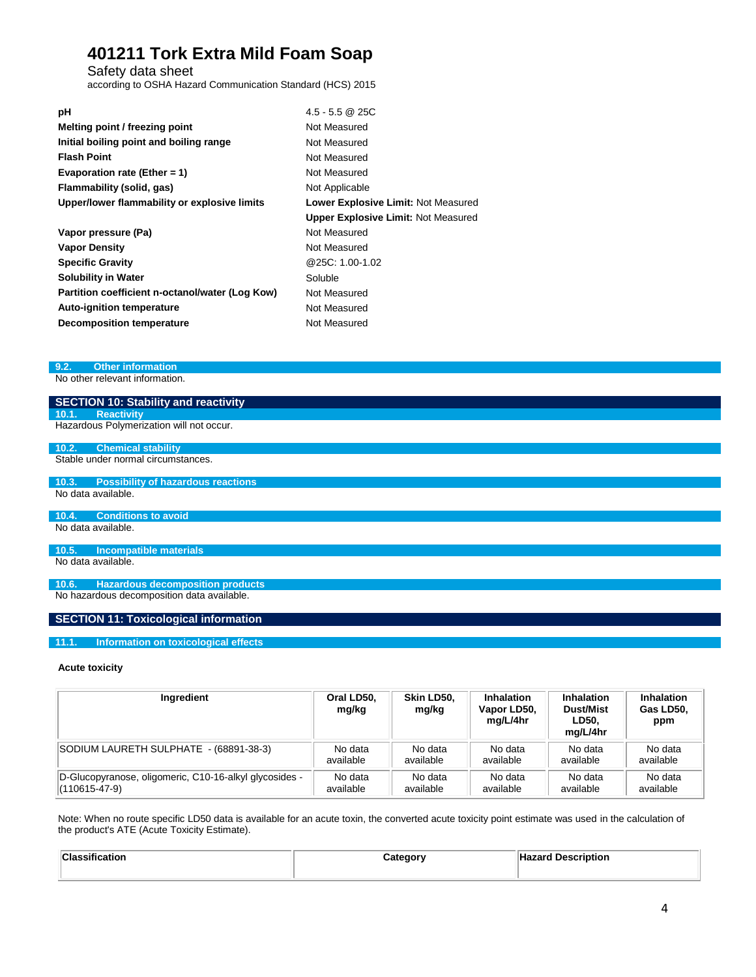Safety data sheet

according to OSHA Hazard Communication Standard (HCS) 2015

| рH                                              | $4.5 - 5.5$ @ 25C                          |
|-------------------------------------------------|--------------------------------------------|
| Melting point / freezing point                  | Not Measured                               |
| Initial boiling point and boiling range         | Not Measured                               |
| <b>Flash Point</b>                              | Not Measured                               |
| Evaporation rate (Ether = 1)                    | Not Measured                               |
| Flammability (solid, gas)                       | Not Applicable                             |
| Upper/lower flammability or explosive limits    | Lower Explosive Limit: Not Measured        |
|                                                 | <b>Upper Explosive Limit: Not Measured</b> |
| Vapor pressure (Pa)                             | Not Measured                               |
| <b>Vapor Density</b>                            | Not Measured                               |
| <b>Specific Gravity</b>                         | @25C: 1.00-1.02                            |
| <b>Solubility in Water</b>                      | Soluble                                    |
| Partition coefficient n-octanol/water (Log Kow) | Not Measured                               |
| <b>Auto-ignition temperature</b>                | Not Measured                               |
| <b>Decomposition temperature</b>                | Not Measured                               |

**9.2. Other information**

No other relevant information.

| SECTION 10: Stability and reactivity               |
|----------------------------------------------------|
| <b>Reactivity</b><br>10.1.                         |
| Hazardous Polymerization will not occur.           |
|                                                    |
| 10.2.<br><b>Chemical stability</b>                 |
| Stable under normal circumstances.                 |
|                                                    |
| 10.3.<br><b>Possibility of hazardous reactions</b> |
| No data available.                                 |
|                                                    |
| <b>Conditions to avoid</b><br>10.4.                |
| No data available.                                 |
|                                                    |
| 10.5.<br>Incompatible materials                    |
| No data available.                                 |
|                                                    |
| <b>Hazardous decomposition products</b><br>10.6.   |
| No hazardous decomposition data available.         |

### **SECTION 11: Toxicological information**

#### **11.1. Information on toxicological effects**

#### **Acute toxicity**

| Ingredient                                             | Oral LD50,<br>mg/kg | Skin LD50.<br>mg/kg | <b>Inhalation</b><br>Vapor LD50,<br>mg/L/4hr | <b>Inhalation</b><br><b>Dust/Mist</b><br>LD50.<br>mg/L/4hr | <b>Inhalation</b><br>Gas LD50.<br>ppm |
|--------------------------------------------------------|---------------------|---------------------|----------------------------------------------|------------------------------------------------------------|---------------------------------------|
| SODIUM LAURETH SULPHATE - (68891-38-3)                 | No data             | No data             | No data                                      | No data                                                    | No data                               |
|                                                        | available           | available           | available                                    | available                                                  | available                             |
| D-Glucopyranose, oligomeric, C10-16-alkyl glycosides - | No data             | No data             | No data                                      | No data                                                    | No data                               |
| $(110615 - 47 - 9)$                                    | available           | available           | available                                    | available                                                  | available                             |

Note: When no route specific LD50 data is available for an acute toxin, the converted acute toxicity point estimate was used in the calculation of the product's ATE (Acute Toxicity Estimate).

| Classification | Category | <b>Description</b> |
|----------------|----------|--------------------|
|                |          |                    |
|                |          |                    |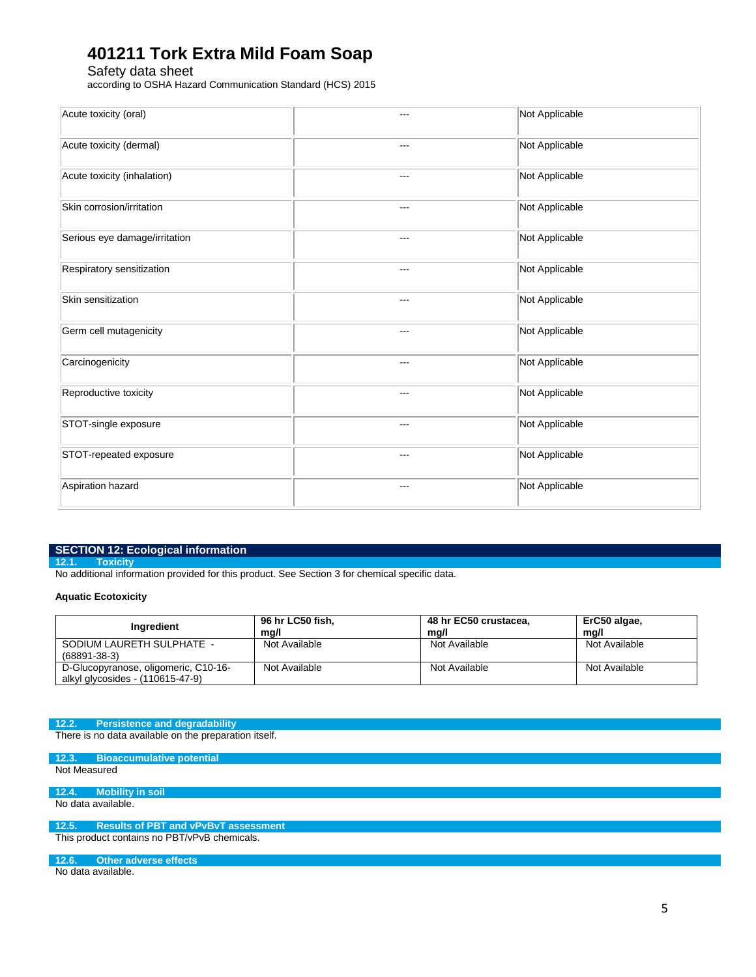Safety data sheet

according to OSHA Hazard Communication Standard (HCS) 2015

| Acute toxicity (oral)         | --- | Not Applicable |
|-------------------------------|-----|----------------|
| Acute toxicity (dermal)       | --- | Not Applicable |
| Acute toxicity (inhalation)   | --- | Not Applicable |
| Skin corrosion/irritation     | --- | Not Applicable |
| Serious eye damage/irritation | --- | Not Applicable |
| Respiratory sensitization     | --- | Not Applicable |
| Skin sensitization            | --- | Not Applicable |
| Germ cell mutagenicity        | --- | Not Applicable |
| Carcinogenicity               | --- | Not Applicable |
| Reproductive toxicity         | --- | Not Applicable |
| STOT-single exposure          | --- | Not Applicable |
| STOT-repeated exposure        | --- | Not Applicable |
| Aspiration hazard             | --- | Not Applicable |

### **SECTION 12: Ecological information**

**12.1. Toxicity**

No additional information provided for this product. See Section 3 for chemical specific data.

### **Aquatic Ecotoxicity**

| Ingredient                                                               | 96 hr LC50 fish.<br>ma/l | 48 hr EC50 crustacea,<br>mg/l | ErC50 algae,<br>ma/l |
|--------------------------------------------------------------------------|--------------------------|-------------------------------|----------------------|
| SODIUM LAURETH SULPHATE -<br>$(68891 - 38 - 3)$                          | Not Available            | Not Available                 | Not Available        |
| D-Glucopyranose, oligomeric, C10-16-<br>alkyl glycosides - (110615-47-9) | Not Available            | Not Available                 | Not Available        |

#### **12.2. Persistence and degradability**

There is no data available on the preparation itself.

**12.3. Bioaccumulative potential** Not Measured

**12.4. Mobility in soil** No data available.

#### **12.5. Results of PBT and vPvBvT assessment**

This product contains no PBT/vPvB chemicals.

**12.6. Other adverse effects**

No data available.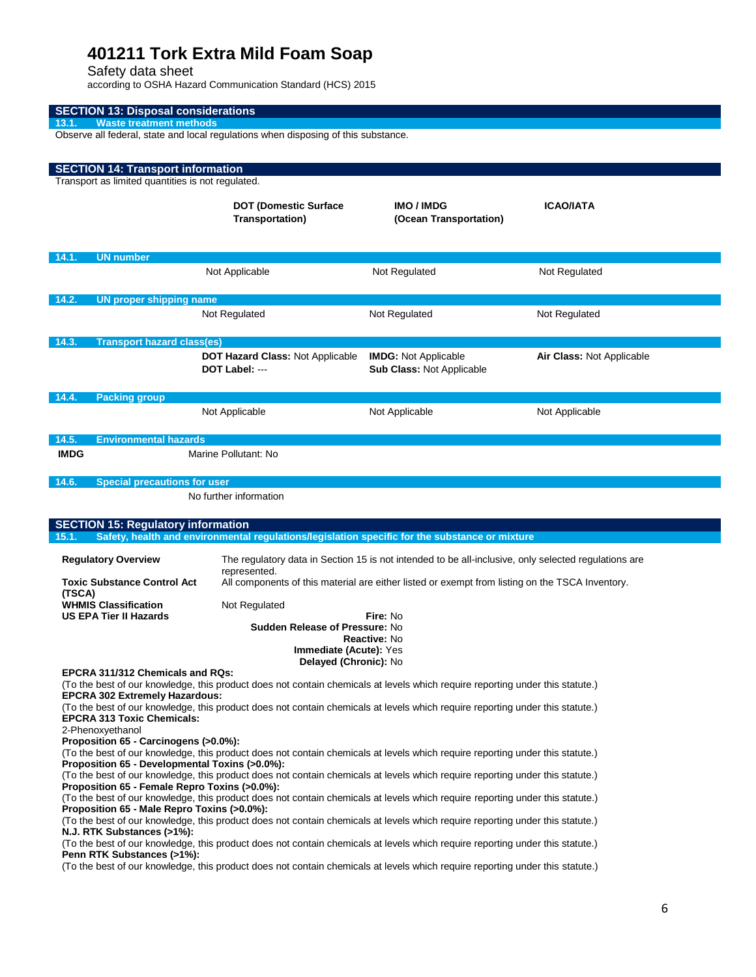Safety data sheet

according to OSHA Hazard Communication Standard (HCS) 2015

| <b>SECTION 13: Disposal considerations</b><br><b>Waste treatment methods</b><br>13.1                                                                                                                                                                                                                    |                                                                                                                      |                                                          |                           |  |  |
|---------------------------------------------------------------------------------------------------------------------------------------------------------------------------------------------------------------------------------------------------------------------------------------------------------|----------------------------------------------------------------------------------------------------------------------|----------------------------------------------------------|---------------------------|--|--|
| Observe all federal, state and local regulations when disposing of this substance.                                                                                                                                                                                                                      |                                                                                                                      |                                                          |                           |  |  |
|                                                                                                                                                                                                                                                                                                         |                                                                                                                      |                                                          |                           |  |  |
| <b>SECTION 14: Transport information</b><br>Transport as limited quantities is not regulated.                                                                                                                                                                                                           |                                                                                                                      |                                                          |                           |  |  |
|                                                                                                                                                                                                                                                                                                         | <b>DOT (Domestic Surface</b><br><b>Transportation)</b>                                                               | <b>IMO/IMDG</b><br>(Ocean Transportation)                | <b>ICAO/IATA</b>          |  |  |
| <b>UN number</b><br>14.1.                                                                                                                                                                                                                                                                               |                                                                                                                      |                                                          |                           |  |  |
|                                                                                                                                                                                                                                                                                                         | Not Applicable                                                                                                       | Not Regulated                                            | Not Regulated             |  |  |
| 14.2.<br><b>UN proper shipping name</b>                                                                                                                                                                                                                                                                 |                                                                                                                      |                                                          |                           |  |  |
|                                                                                                                                                                                                                                                                                                         | Not Regulated                                                                                                        | Not Regulated                                            | Not Regulated             |  |  |
| 14.3.<br><b>Transport hazard class(es)</b>                                                                                                                                                                                                                                                              |                                                                                                                      |                                                          |                           |  |  |
|                                                                                                                                                                                                                                                                                                         | <b>DOT Hazard Class: Not Applicable</b><br>DOT Label: ---                                                            | <b>IMDG:</b> Not Applicable<br>Sub Class: Not Applicable | Air Class: Not Applicable |  |  |
| 14.4.<br><b>Packing group</b>                                                                                                                                                                                                                                                                           |                                                                                                                      |                                                          |                           |  |  |
|                                                                                                                                                                                                                                                                                                         | Not Applicable                                                                                                       | Not Applicable                                           | Not Applicable            |  |  |
| 14.5.<br><b>Environmental hazards</b><br><b>IMDG</b><br>Marine Pollutant: No                                                                                                                                                                                                                            |                                                                                                                      |                                                          |                           |  |  |
| 14.6.<br><b>Special precautions for user</b>                                                                                                                                                                                                                                                            |                                                                                                                      |                                                          |                           |  |  |
|                                                                                                                                                                                                                                                                                                         | No further information                                                                                               |                                                          |                           |  |  |
| <b>SECTION 15: Regulatory information</b><br>Safety, health and environmental regulations/legislation specific for the substance or mixture                                                                                                                                                             |                                                                                                                      |                                                          |                           |  |  |
| 15.1.                                                                                                                                                                                                                                                                                                   |                                                                                                                      |                                                          |                           |  |  |
| <b>Regulatory Overview</b>                                                                                                                                                                                                                                                                              | The regulatory data in Section 15 is not intended to be all-inclusive, only selected regulations are<br>represented. |                                                          |                           |  |  |
| <b>Toxic Substance Control Act</b><br>(TSCA)                                                                                                                                                                                                                                                            | All components of this material are either listed or exempt from listing on the TSCA Inventory.                      |                                                          |                           |  |  |
| WHMIS Classification                                                                                                                                                                                                                                                                                    | Not Regulated                                                                                                        |                                                          |                           |  |  |
| <b>US EPA Tier II Hazards</b><br>Fire: No<br><b>Sudden Release of Pressure: No</b>                                                                                                                                                                                                                      |                                                                                                                      |                                                          |                           |  |  |
| Reactive: No<br>Immediate (Acute): Yes                                                                                                                                                                                                                                                                  |                                                                                                                      |                                                          |                           |  |  |
| Delayed (Chronic): No<br>EPCRA 311/312 Chemicals and RQs:                                                                                                                                                                                                                                               |                                                                                                                      |                                                          |                           |  |  |
| (To the best of our knowledge, this product does not contain chemicals at levels which require reporting under this statute.)<br><b>EPCRA 302 Extremely Hazardous:</b><br>(To the best of our knowledge, this product does not contain chemicals at levels which require reporting under this statute.) |                                                                                                                      |                                                          |                           |  |  |
| <b>EPCRA 313 Toxic Chemicals:</b><br>2-Phenoxyethanol                                                                                                                                                                                                                                                   |                                                                                                                      |                                                          |                           |  |  |
| Proposition 65 - Carcinogens (>0.0%):<br>(To the best of our knowledge, this product does not contain chemicals at levels which require reporting under this statute.)<br>Proposition 65 - Developmental Toxins (>0.0%):                                                                                |                                                                                                                      |                                                          |                           |  |  |
| (To the best of our knowledge, this product does not contain chemicals at levels which require reporting under this statute.)<br>Proposition 65 - Female Repro Toxins (>0.0%):                                                                                                                          |                                                                                                                      |                                                          |                           |  |  |
| (To the best of our knowledge, this product does not contain chemicals at levels which require reporting under this statute.)<br>Proposition 65 - Male Repro Toxins (>0.0%):                                                                                                                            |                                                                                                                      |                                                          |                           |  |  |
| (To the best of our knowledge, this product does not contain chemicals at levels which require reporting under this statute.)<br>N.J. RTK Substances (>1%):                                                                                                                                             |                                                                                                                      |                                                          |                           |  |  |
| (To the best of our knowledge, this product does not contain chemicals at levels which require reporting under this statute.)<br>Penn RTK Substances (>1%):                                                                                                                                             |                                                                                                                      |                                                          |                           |  |  |
| (To the best of our knowledge, this product does not contain chemicals at levels which require reporting under this statute.)                                                                                                                                                                           |                                                                                                                      |                                                          |                           |  |  |